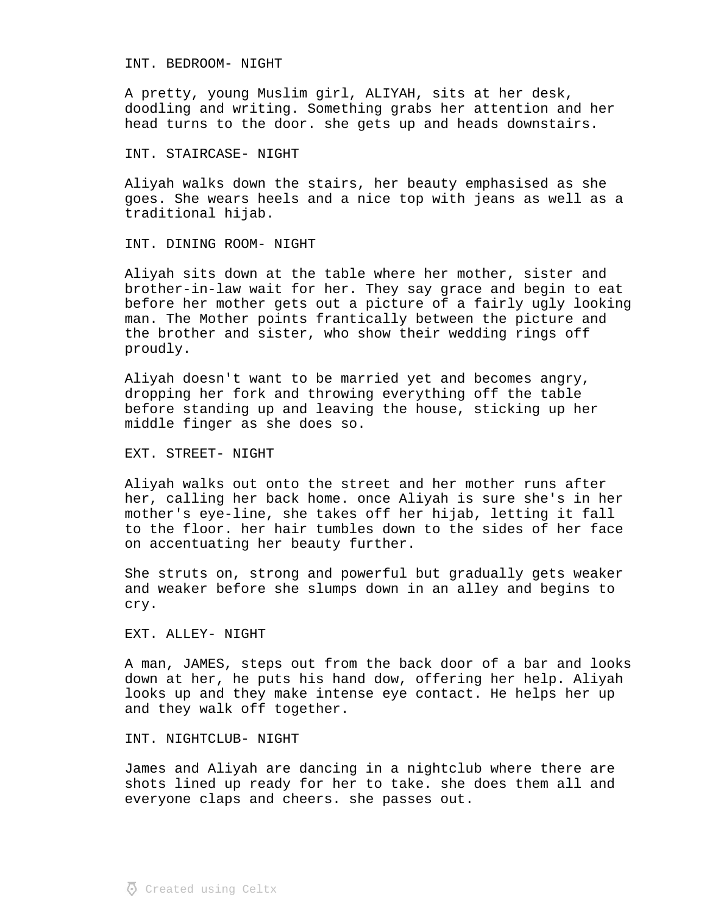## INT. BEDROOM- NIGHT

A pretty, young Muslim girl, ALIYAH, sits at her desk, doodling and writing. Something grabs her attention and her head turns to the door. she gets up and heads downstairs.

## INT. STAIRCASE- NIGHT

Aliyah walks down the stairs, her beauty emphasised as she goes. She wears heels and a nice top with jeans as well as a traditional hijab.

## INT. DINING ROOM- NIGHT

Aliyah sits down at the table where her mother, sister and brother-in-law wait for her. They say grace and begin to eat before her mother gets out a picture of a fairly ugly looking man. The Mother points frantically between the picture and the brother and sister, who show their wedding rings off proudly.

Aliyah doesn't want to be married yet and becomes angry, dropping her fork and throwing everything off the table before standing up and leaving the house, sticking up her middle finger as she does so.

### EXT. STREET- NIGHT

Aliyah walks out onto the street and her mother runs after her, calling her back home. once Aliyah is sure she's in her mother's eye-line, she takes off her hijab, letting it fall to the floor. her hair tumbles down to the sides of her face on accentuating her beauty further.

She struts on, strong and powerful but gradually gets weaker and weaker before she slumps down in an alley and begins to cry.

EXT. ALLEY- NIGHT

A man, JAMES, steps out from the back door of a bar and looks down at her, he puts his hand dow, offering her help. Aliyah looks up and they make intense eye contact. He helps her up and they walk off together.

## INT. NIGHTCLUB- NIGHT

James and Aliyah are dancing in a nightclub where there are shots lined up ready for her to take. she does them all and everyone claps and cheers. she passes out.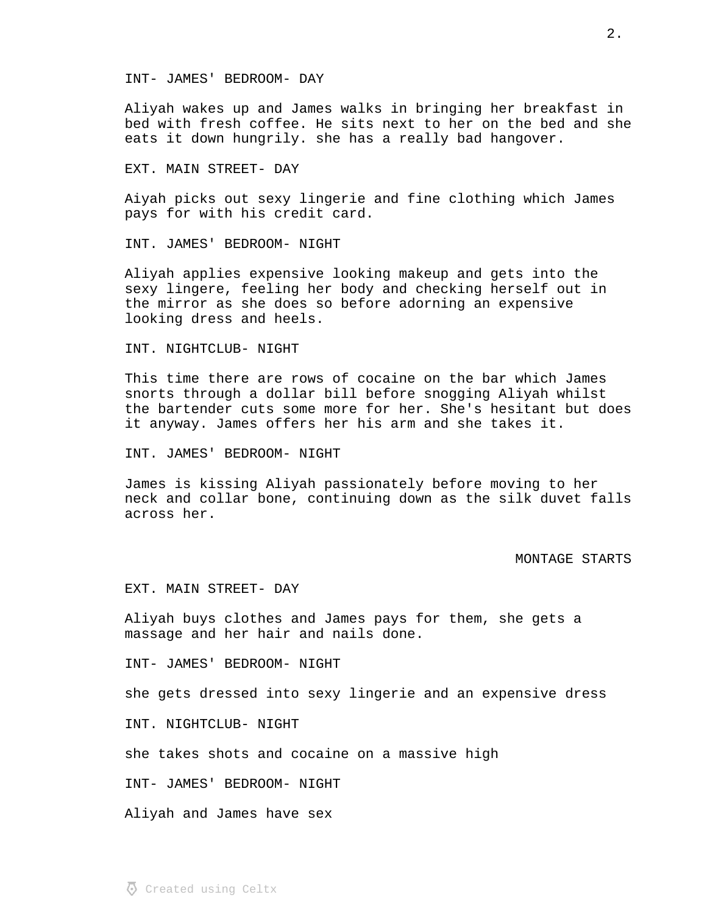#### INT- JAMES' BEDROOM- DAY

Aliyah wakes up and James walks in bringing her breakfast in bed with fresh coffee. He sits next to her on the bed and she eats it down hungrily. she has a really bad hangover.

## EXT. MAIN STREET- DAY

Aiyah picks out sexy lingerie and fine clothing which James pays for with his credit card.

INT. JAMES' BEDROOM- NIGHT

Aliyah applies expensive looking makeup and gets into the sexy lingere, feeling her body and checking herself out in the mirror as she does so before adorning an expensive looking dress and heels.

## INT. NIGHTCLUB- NIGHT

This time there are rows of cocaine on the bar which James snorts through a dollar bill before snogging Aliyah whilst the bartender cuts some more for her. She's hesitant but does it anyway. James offers her his arm and she takes it.

INT. JAMES' BEDROOM- NIGHT

James is kissing Aliyah passionately before moving to her neck and collar bone, continuing down as the silk duvet falls across her.

# MONTAGE STARTS

EXT. MAIN STREET- DAY

Aliyah buys clothes and James pays for them, she gets a massage and her hair and nails done.

INT- JAMES' BEDROOM- NIGHT

she gets dressed into sexy lingerie and an expensive dress

INT. NIGHTCLUB- NIGHT

she takes shots and cocaine on a massive high

INT- JAMES' BEDROOM- NIGHT

Aliyah and James have sex